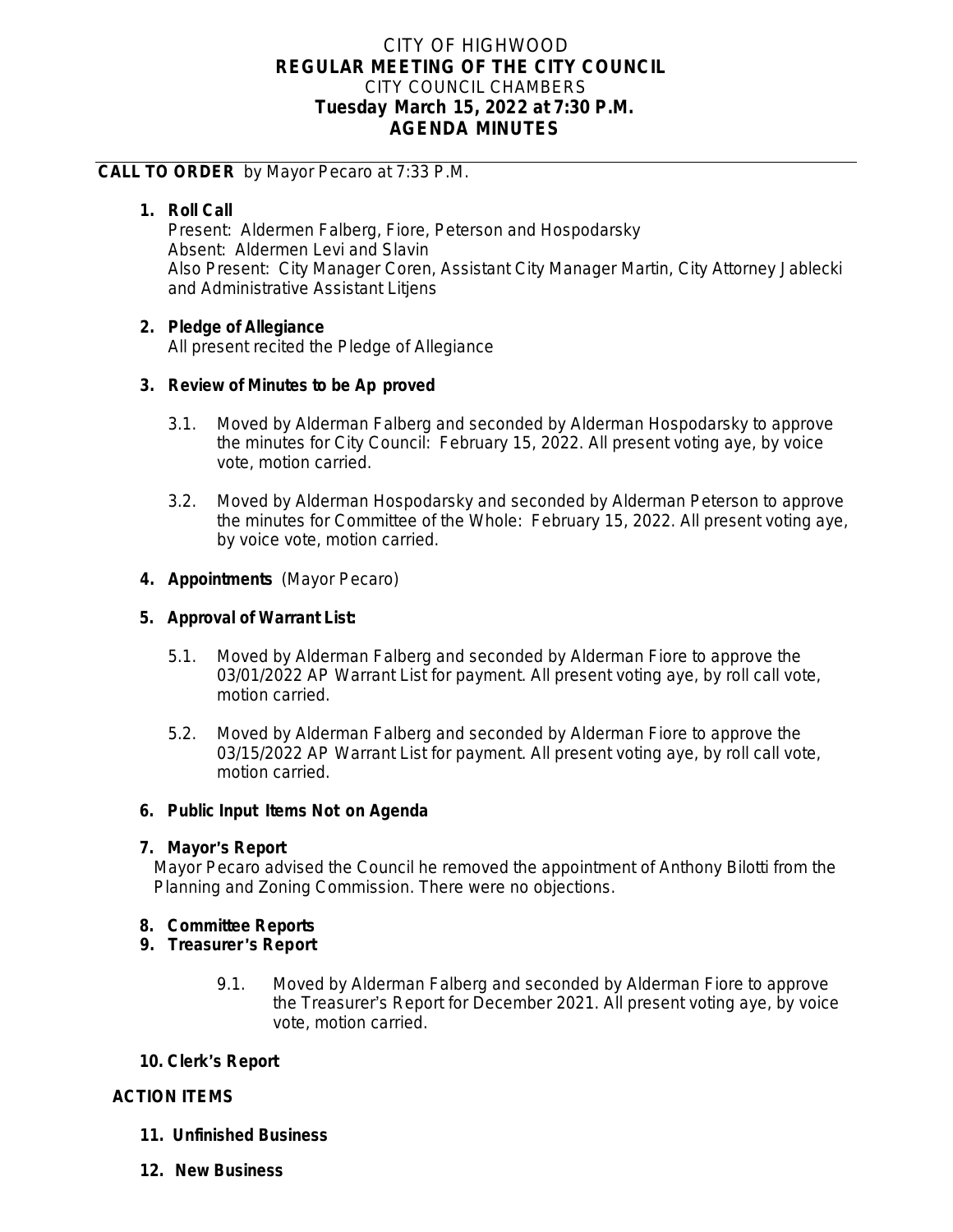# CITY OF HIGHWOOD **REGULAR MEETING OF THE CITY COUNCIL** CITY COUNCIL CHAMBERS **Tuesday March 15, 2022 at 7:30 P.M. AGENDA MINUTES**

## **CALL TO ORDER** by Mayor Pecaro at 7:33 P.M.

# **1. Roll Call**

Present: Aldermen Falberg, Fiore, Peterson and Hospodarsky Absent: Aldermen Levi and Slavin Also Present: City Manager Coren, Assistant City Manager Martin, City Attorney Jablecki and Administrative Assistant Litjens

## **2. Pledge of Allegiance**

All present recited the Pledge of Allegiance

### **3. Review of Minutes to be Ap proved**

- 3.1. Moved by Alderman Falberg and seconded by Alderman Hospodarsky to approve the minutes for City Council: February 15, 2022. All present voting aye, by voice vote, motion carried.
- 3.2. Moved by Alderman Hospodarsky and seconded by Alderman Peterson to approve the minutes for Committee of the Whole: February 15, 2022. All present voting aye, by voice vote, motion carried.

### **4. Appointments** (Mayor Pecaro)

### **5. Approval of Warrant List:**

- 5.1. Moved by Alderman Falberg and seconded by Alderman Fiore to approve the 03/01/2022 AP Warrant List for payment. All present voting aye, by roll call vote, motion carried.
- 5.2. Moved by Alderman Falberg and seconded by Alderman Fiore to approve the 03/15/2022 AP Warrant List for payment. All present voting aye, by roll call vote, motion carried.

#### **6. Public Input Items Not on Agenda**

#### **7. Mayor**'**s Report**

Mayor Pecaro advised the Council he removed the appointment of Anthony Bilotti from the Planning and Zoning Commission. There were no objections.

## **8. Committee Reports**

#### **9. Treasurer** '**s Report**

9.1. Moved by Alderman Falberg and seconded by Alderman Fiore to approve the Treasurer's Report for December 2021. All present voting aye, by voice vote, motion carried.

## **10. Clerk**'**s Report**

## **ACTION ITEMS**

- **11. Unfinished Business**
- **12. New Business**